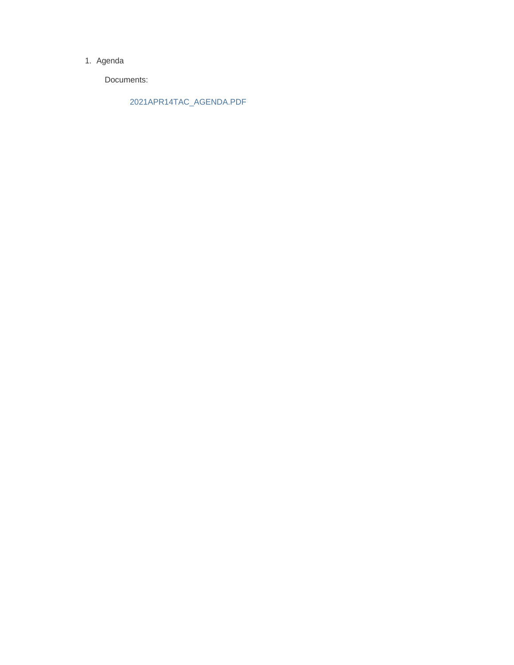#### 1. Agenda

Documents:

2021APR14TAC\_AGENDA.PDF